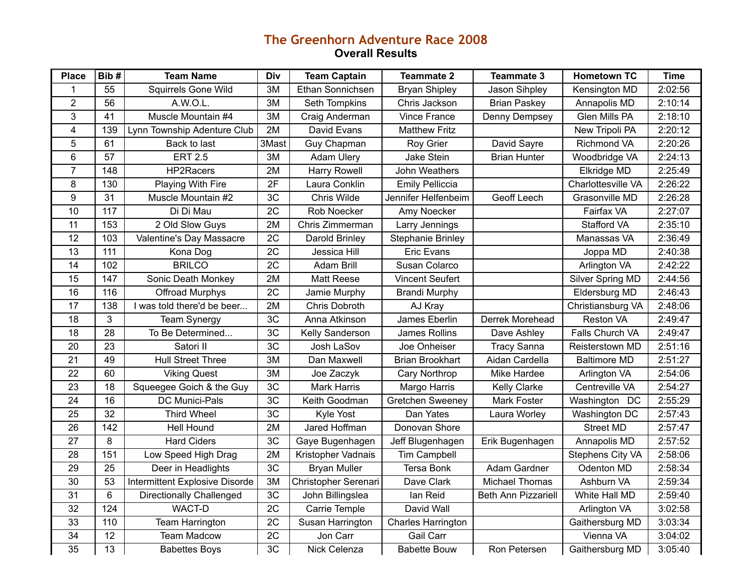## **The Greenhorn Adventure Race 2008 Overall Results**

| <b>Place</b>    | Bib#            | <b>Team Name</b>                | Div   | <b>Team Captain</b>  | <b>Teammate 2</b>         | <b>Teammate 3</b>          | <b>Hometown TC</b>  | <b>Time</b> |
|-----------------|-----------------|---------------------------------|-------|----------------------|---------------------------|----------------------------|---------------------|-------------|
| 1               | 55              | Squirrels Gone Wild             | 3M    | Ethan Sonnichsen     | <b>Bryan Shipley</b>      | <b>Jason Sihpley</b>       | Kensington MD       | 2:02:56     |
| $\overline{2}$  | 56              | A.W.O.L.                        | 3M    | Seth Tompkins        | Chris Jackson             | <b>Brian Paskey</b>        | Annapolis MD        | 2:10:14     |
| 3               | 41              | Muscle Mountain #4              | 3M    | Craig Anderman       | Vince France              | Denny Dempsey              | Glen Mills PA       | 2:18:10     |
| 4               | 139             | Lynn Township Adenture Club     | 2M    | David Evans          | <b>Matthew Fritz</b>      |                            | New Tripoli PA      | 2:20:12     |
| 5               | 61              | Back to last                    | 3Mast | Guy Chapman          | Roy Grier                 | David Sayre                | <b>Richmond VA</b>  | 2:20:26     |
| 6               | 57              | <b>ERT 2.5</b>                  | 3M    | Adam Ulery           | Jake Stein                | <b>Brian Hunter</b>        | Woodbridge VA       | 2:24:13     |
| $\overline{7}$  | 148             | HP2Racers                       | 2M    | <b>Harry Rowell</b>  | John Weathers             |                            | Elkridge MD         | 2:25:49     |
| 8               | 130             | Playing With Fire               | 2F    | Laura Conklin        | <b>Emily Pelliccia</b>    |                            | Charlottesville VA  | 2:26:22     |
| 9               | 31              | Muscle Mountain #2              | 3C    | Chris Wilde          | Jennifer Helfenbeim       | Geoff Leech                | Grasonville MD      | 2:26:28     |
| 10              | 117             | Di Di Mau                       | 2C    | Rob Noecker          | Amy Noecker               |                            | Fairfax VA          | 2:27:07     |
| $\overline{11}$ | 153             | 2 Old Slow Guys                 | 2M    | Chris Zimmerman      | Larry Jennings            |                            | Stafford VA         | 2:35:10     |
| $\overline{12}$ | 103             | Valentine's Day Massacre        | 2C    | Darold Brinley       | <b>Stephanie Brinley</b>  |                            | Manassas VA         | 2:36:49     |
| 13              | 111             | Kona Dog                        | 2C    | Jessica Hill         | Eric Evans                |                            | Joppa MD            | 2:40:38     |
| 14              | 102             | <b>BRILCO</b>                   | 2C    | <b>Adam Brill</b>    | Susan Colarco             |                            | Arlington VA        | 2:42:22     |
| 15              | 147             | Sonic Death Monkey              | 2M    | <b>Matt Reese</b>    | <b>Vincent Seufert</b>    |                            | Silver Spring MD    | 2:44:56     |
| 16              | 116             | Offroad Murphys                 | 2C    | Jamie Murphy         | <b>Brandi Murphy</b>      |                            | Eldersburg MD       | 2:46:43     |
| 17              | 138             | I was told there'd be beer      | 2M    | Chris Dobroth        | AJ Kray                   |                            | Christiansburg VA   | 2:48:06     |
| 18              | 3               | <b>Team Synergy</b>             | 3C    | Anna Atkinson        | James Eberlin             | Derrek Morehead            | <b>Reston VA</b>    | 2:49:47     |
| 18              | $\overline{28}$ | To Be Determined                | 3C    | Kelly Sanderson      | James Rollins             | Dave Ashley                | Falls Church VA     | 2:49:47     |
| 20              | 23              | Satori II                       | 3C    | Josh LaSov           | Joe Onheiser              | <b>Tracy Sanna</b>         | Reisterstown MD     | 2:51:16     |
| 21              | 49              | <b>Hull Street Three</b>        | 3M    | Dan Maxwell          | <b>Brian Brookhart</b>    | Aidan Cardella             | <b>Baltimore MD</b> | 2:51:27     |
| 22              | 60              | <b>Viking Quest</b>             | 3M    | Joe Zaczyk           | Cary Northrop             | Mike Hardee                | Arlington VA        | 2:54:06     |
| 23              | 18              | Squeegee Goich & the Guy        | 3C    | Mark Harris          | Margo Harris              | Kelly Clarke               | Centreville VA      | 2:54:27     |
| 24              | 16              | DC Munici-Pals                  | 3C    | Keith Goodman        | <b>Gretchen Sweeney</b>   | Mark Foster                | Washington DC       | 2:55:29     |
| 25              | 32              | <b>Third Wheel</b>              | 3C    | Kyle Yost            | Dan Yates                 | Laura Worley               | Washington DC       | 2:57:43     |
| 26              | 142             | Hell Hound                      | 2M    | Jared Hoffman        | Donovan Shore             |                            | <b>Street MD</b>    | 2:57:47     |
| 27              | 8               | <b>Hard Ciders</b>              | 3C    | Gaye Bugenhagen      | Jeff Blugenhagen          | Erik Bugenhagen            | Annapolis MD        | 2:57:52     |
| $\overline{28}$ | 151             | Low Speed High Drag             | 2M    | Kristopher Vadnais   | Tim Campbell              |                            | Stephens City VA    | 2:58:06     |
| 29              | 25              | Deer in Headlights              | 3C    | <b>Bryan Muller</b>  | <b>Tersa Bonk</b>         | Adam Gardner               | Odenton MD          | 2:58:34     |
| 30              | 53              | Intermittent Explosive Disorde  | 3M    | Christopher Serenari | Dave Clark                | <b>Michael Thomas</b>      | Ashburn VA          | 2:59:34     |
| 31              | $6\phantom{1}$  | <b>Directionally Challenged</b> | 3C    | John Billingslea     | lan Reid                  | <b>Beth Ann Pizzariell</b> | White Hall MD       | 2:59:40     |
| 32              | 124             | <b>WACT-D</b>                   | 2C    | Carrie Temple        | David Wall                |                            | Arlington VA        | 3:02:58     |
| 33              | 110             | <b>Team Harrington</b>          | 2C    | Susan Harrington     | <b>Charles Harrington</b> |                            | Gaithersburg MD     | 3:03:34     |
| 34              | 12              | <b>Team Madcow</b>              | 2C    | Jon Carr             | Gail Carr                 |                            | Vienna VA           | 3:04:02     |
| 35              | 13              | <b>Babettes Boys</b>            | 3C    | Nick Celenza         | <b>Babette Bouw</b>       | Ron Petersen               | Gaithersburg MD     | 3:05:40     |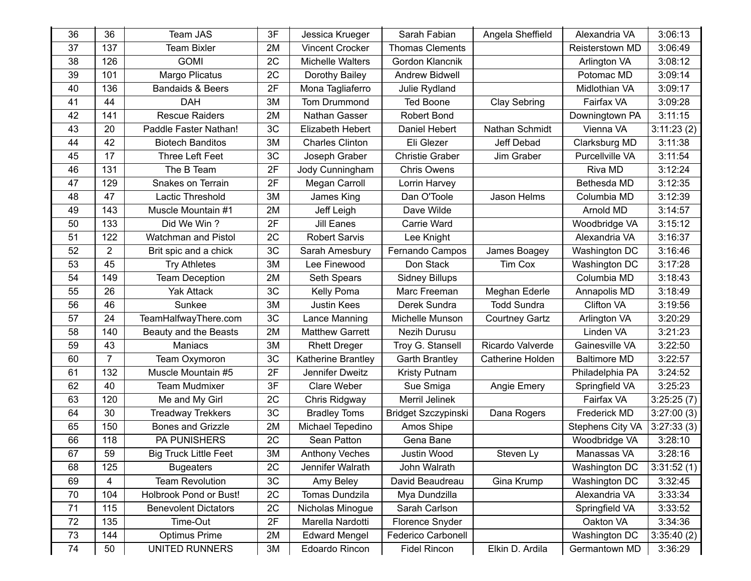| 36 | 36             | Team JAS                     | 3F | Jessica Krueger        | Sarah Fabian           | Angela Sheffield      | Alexandria VA           | 3:06:13    |
|----|----------------|------------------------------|----|------------------------|------------------------|-----------------------|-------------------------|------------|
| 37 | 137            | <b>Team Bixler</b>           | 2M | <b>Vincent Crocker</b> | <b>Thomas Clements</b> |                       | Reisterstown MD         | 3:06:49    |
| 38 | 126            | <b>GOMI</b>                  | 2C | Michelle Walters       | Gordon Klancnik        |                       | Arlington VA            | 3:08:12    |
| 39 | 101            | Margo Plicatus               | 2C | Dorothy Bailey         | Andrew Bidwell         |                       | Potomac MD              | 3:09:14    |
| 40 | 136            | <b>Bandaids &amp; Beers</b>  | 2F | Mona Tagliaferro       | Julie Rydland          |                       | Midlothian VA           | 3:09:17    |
| 41 | 44             | <b>DAH</b>                   | 3M | Tom Drummond           | <b>Ted Boone</b>       | <b>Clay Sebring</b>   | Fairfax VA              | 3:09:28    |
| 42 | 141            | <b>Rescue Raiders</b>        | 2M | Nathan Gasser          | Robert Bond            |                       | Downingtown PA          | 3:11:15    |
| 43 | 20             | Paddle Faster Nathan!        | 3C | Elizabeth Hebert       | Daniel Hebert          | Nathan Schmidt        | Vienna VA               | 3:11:23(2) |
| 44 | 42             | <b>Biotech Banditos</b>      | 3M | <b>Charles Clinton</b> | Eli Glezer             | Jeff Debad            | Clarksburg MD           | 3:11:38    |
| 45 | 17             | Three Left Feet              | 3C | Joseph Graber          | <b>Christie Graber</b> | Jim Graber            | Purcellville VA         | 3:11:54    |
| 46 | 131            | The B Team                   | 2F | Jody Cunningham        | <b>Chris Owens</b>     |                       | Riva MD                 | 3:12:24    |
| 47 | 129            | Snakes on Terrain            | 2F | Megan Carroll          | Lorrin Harvey          |                       | Bethesda MD             | 3:12:35    |
| 48 | 47             | Lactic Threshold             | 3M | James King             | Dan O'Toole            | Jason Helms           | Columbia MD             | 3:12:39    |
| 49 | 143            | Muscle Mountain #1           | 2M | Jeff Leigh             | Dave Wilde             |                       | Arnold MD               | 3:14:57    |
| 50 | 133            | Did We Win?                  | 2F | <b>Jill Eanes</b>      | Carrie Ward            |                       | Woodbridge VA           | 3:15:12    |
| 51 | 122            | <b>Watchman and Pistol</b>   | 2C | <b>Robert Sarvis</b>   | Lee Knight             |                       | Alexandria VA           | 3:16:37    |
| 52 | $\overline{2}$ | Brit spic and a chick        | 3C | Sarah Amesbury         | Fernando Campos        | James Boagey          | Washington DC           | 3:16:46    |
| 53 | 45             | <b>Try Athletes</b>          | 3M | Lee Finewood           | Don Stack              | <b>Tim Cox</b>        | Washington DC           | 3:17:28    |
| 54 | 149            | <b>Team Deception</b>        | 2M | Seth Spears            | <b>Sidney Billups</b>  |                       | Columbia MD             | 3:18:43    |
| 55 | 26             | <b>Yak Attack</b>            | 3C | Kelly Poma             | Marc Freeman           | Meghan Ederle         | Annapolis MD            | 3:18:49    |
| 56 | 46             | Sunkee                       | 3M | <b>Justin Kees</b>     | Derek Sundra           | <b>Todd Sundra</b>    | <b>Clifton VA</b>       | 3:19:56    |
| 57 | 24             | TeamHalfwayThere.com         | 3C | Lance Manning          | Michelle Munson        | <b>Courtney Gartz</b> | Arlington VA            | 3:20:29    |
| 58 | 140            | Beauty and the Beasts        | 2M | <b>Matthew Garrett</b> | Nezih Durusu           |                       | Linden VA               | 3:21:23    |
| 59 | 43             | Maniacs                      | 3M | Rhett Dreger           | Troy G. Stansell       | Ricardo Valverde      | Gainesville VA          | 3:22:50    |
| 60 | $\overline{7}$ | Team Oxymoron                | 3C | Katherine Brantley     | <b>Garth Brantley</b>  | Catherine Holden      | <b>Baltimore MD</b>     | 3:22:57    |
| 61 | 132            | Muscle Mountain #5           | 2F | Jennifer Dweitz        | Kristy Putnam          |                       | Philadelphia PA         | 3:24:52    |
| 62 | 40             | <b>Team Mudmixer</b>         | 3F | Clare Weber            | Sue Smiga              | Angie Emery           | Springfield VA          | 3:25:23    |
| 63 | 120            | Me and My Girl               | 2C | Chris Ridgway          | Merril Jelinek         |                       | Fairfax VA              | 3:25:25(7) |
| 64 | 30             | <b>Treadway Trekkers</b>     | 3C | <b>Bradley Toms</b>    | Bridget Szczypinski    | Dana Rogers           | Frederick MD            | 3:27:00(3) |
| 65 | 150            | Bones and Grizzle            | 2M | Michael Tepedino       | Amos Shipe             |                       | <b>Stephens City VA</b> | 3:27:33(3) |
| 66 | 118            | PA PUNISHERS                 | 2C | Sean Patton            | Gena Bane              |                       | Woodbridge VA           | 3:28:10    |
| 67 | 59             | <b>Big Truck Little Feet</b> | 3M | Anthony Veches         | Justin Wood            | Steven Ly             | Manassas VA             | 3:28:16    |
| 68 | 125            | <b>Bugeaters</b>             | 2C | Jennifer Walrath       | John Walrath           |                       | Washington DC           | 3:31:52(1) |
| 69 | 4              | <b>Team Revolution</b>       | 3C | Amy Beley              | David Beaudreau        | Gina Krump            | Washington DC           | 3:32:45    |
| 70 | 104            | Holbrook Pond or Bust!       | 2C | Tomas Dundzila         | Mya Dundzilla          |                       | Alexandria VA           | 3:33:34    |
| 71 | 115            | <b>Benevolent Dictators</b>  | 2C | Nicholas Minogue       | Sarah Carlson          |                       | Springfield VA          | 3:33:52    |
| 72 | 135            | Time-Out                     | 2F | Marella Nardotti       | Florence Snyder        |                       | Oakton VA               | 3:34:36    |
| 73 | 144            | <b>Optimus Prime</b>         | 2M | <b>Edward Mengel</b>   | Federico Carbonell     |                       | Washington DC           | 3:35:40(2) |
| 74 | 50             | UNITED RUNNERS               | 3M | Edoardo Rincon         | <b>Fidel Rincon</b>    | Elkin D. Ardila       | Germantown MD           | 3:36:29    |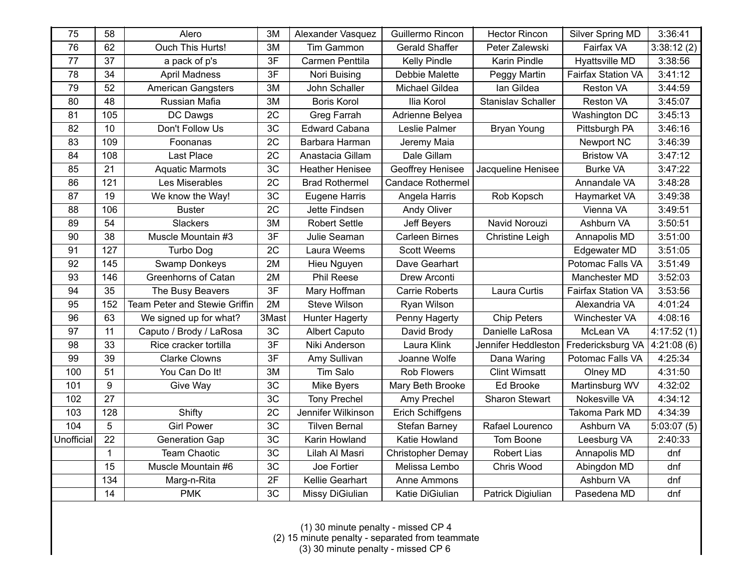| 75         | 58              | Alero                                | 3M              | Alexander Vasquez      | Guillermo Rincon         | <b>Hector Rincon</b>      | Silver Spring MD   | 3:36:41                 |
|------------|-----------------|--------------------------------------|-----------------|------------------------|--------------------------|---------------------------|--------------------|-------------------------|
| 76         | 62              | Ouch This Hurts!                     | 3M              | Tim Gammon             | <b>Gerald Shaffer</b>    | Peter Zalewski            | Fairfax VA         | 3:38:12(2)              |
| 77         | 37              | a pack of p's                        | 3F              | Carmen Penttila        | Kelly Pindle             | Karin Pindle              | Hyattsville MD     | 3:38:56                 |
| 78         | 34              | <b>April Madness</b>                 | 3F              | Nori Buising           | Debbie Malette           | Peggy Martin              | Fairfax Station VA | 3:41:12                 |
| 79         | 52              | <b>American Gangsters</b>            | 3M              | John Schaller          | Michael Gildea           | Ian Gildea                | Reston VA          | 3:44:59                 |
| 80         | 48              | Russian Mafia                        | 3M              | <b>Boris Korol</b>     | Ilia Korol               | <b>Stanislav Schaller</b> | <b>Reston VA</b>   | 3:45:07                 |
| 81         | 105             | DC Dawgs                             | 2C              | Greg Farrah            | Adrienne Belyea          |                           | Washington DC      | 3:45:13                 |
| 82         | 10              | Don't Follow Us                      | 3C              | <b>Edward Cabana</b>   | Leslie Palmer            | Bryan Young               | Pittsburgh PA      | 3:46:16                 |
| 83         | 109             | Foonanas                             | 2C              | Barbara Harman         | Jeremy Maia              |                           | Newport NC         | 3:46:39                 |
| 84         | 108             | Last Place                           | 2C              | Anastacia Gillam       | Dale Gillam              |                           | <b>Bristow VA</b>  | 3:47:12                 |
| 85         | 21              | <b>Aquatic Marmots</b>               | 3C              | <b>Heather Henisee</b> | Geoffrey Henisee         | Jacqueline Henisee        | <b>Burke VA</b>    | 3:47:22                 |
| 86         | 121             | Les Miserables                       | 2C              | <b>Brad Rothermel</b>  | <b>Candace Rothermel</b> |                           | Annandale VA       | 3:48:28                 |
| 87         | 19              | We know the Way!                     | 3C              | Eugene Harris          | Angela Harris            | Rob Kopsch                | Haymarket VA       | 3:49:38                 |
| 88         | 106             | <b>Buster</b>                        | 2C              | Jette Findsen          | Andy Oliver              |                           | Vienna VA          | 3:49:51                 |
| 89         | $\overline{54}$ | Slackers                             | 3M              | <b>Robert Settle</b>   | Jeff Beyers              | Navid Norouzi             | Ashburn VA         | 3:50:51                 |
| 90         | $\overline{38}$ | Muscle Mountain #3                   | 3F              | Julie Seaman           | <b>Carleen Birnes</b>    | <b>Christine Leigh</b>    | Annapolis MD       | 3:51:00                 |
| 91         | 127             | <b>Turbo Dog</b>                     | 2C              | Laura Weems            | <b>Scott Weems</b>       |                           | Edgewater MD       | 3:51:05                 |
| 92         | 145             | Swamp Donkeys                        | 2M              | Hieu Nguyen            | Dave Gearhart            |                           | Potomac Falls VA   | 3:51:49                 |
| 93         | 146             | Greenhorns of Catan                  | 2M              | Phil Reese             | Drew Arconti             |                           | Manchester MD      | 3:52:03                 |
| 94         | 35              | The Busy Beavers                     | $\overline{3F}$ | Mary Hoffman           | <b>Carrie Roberts</b>    | Laura Curtis              | Fairfax Station VA | 3:53:56                 |
| 95         | 152             | <b>Team Peter and Stewie Griffin</b> | 2M              | <b>Steve Wilson</b>    | Ryan Wilson              |                           | Alexandria VA      | 4:01:24                 |
| 96         | 63              | We signed up for what?               | 3Mast           | Hunter Hagerty         | Penny Hagerty            | <b>Chip Peters</b>        | Winchester VA      | 4:08:16                 |
| 97         | 11              | Caputo / Brody / LaRosa              | 3C              | Albert Caputo          | David Brody              | Danielle LaRosa           | McLean VA          | 4:17:52(1)              |
| 98         | 33              | Rice cracker tortilla                | $\overline{3F}$ | Niki Anderson          | Laura Klink              | Jennifer Heddleston       | Fredericksburg VA  | 4:21:08(6)              |
| 99         | 39              | <b>Clarke Clowns</b>                 | 3F              | Amy Sullivan           | Joanne Wolfe             | Dana Waring               | Potomac Falls VA   | 4:25:34                 |
| 100        | 51              | You Can Do It!                       | 3M              | Tim Salo               | <b>Rob Flowers</b>       | <b>Clint Wimsatt</b>      | Olney MD           | 4:31:50                 |
| 101        | 9               | Give Way                             | 3C              | Mike Byers             | Mary Beth Brooke         | Ed Brooke                 | Martinsburg WV     | 4:32:02                 |
| 102        | 27              |                                      | 3C              | <b>Tony Prechel</b>    | Amy Prechel              | Sharon Stewart            | Nokesville VA      | 4:34:12                 |
| 103        | 128             | Shifty                               | 2C              | Jennifer Wilkinson     | Erich Schiffgens         |                           | Takoma Park MD     | 4:34:39                 |
| 104        | 5               | <b>Girl Power</b>                    | 3C              | <b>Tilven Bernal</b>   | Stefan Barney            | Rafael Lourenco           | Ashburn VA         | $\overline{5:03:07(5)}$ |
| Unofficial | 22              | <b>Generation Gap</b>                | 3C              | Karin Howland          | Katie Howland            | Tom Boone                 | Leesburg VA        | 2:40:33                 |
|            | $\mathbf{1}$    | <b>Team Chaotic</b>                  | 3C              | Lilah Al Masri         | <b>Christopher Demay</b> | <b>Robert Lias</b>        | Annapolis MD       | dnf                     |
|            | 15              | Muscle Mountain #6                   | 3C              | Joe Fortier            | Melissa Lembo            | Chris Wood                | Abingdon MD        | dnf                     |
|            | 134             | Marg-n-Rita                          | 2F              | Kellie Gearhart        | Anne Ammons              |                           | Ashburn VA         | dnf                     |
|            | 14              | <b>PMK</b>                           | 3C              | Missy DiGiulian        | Katie DiGiulian          | Patrick Digiulian         | Pasedena MD        | dnf                     |

(1) 30 minute penalty - missed CP 4

(2) 15 minute penalty - separated from teammate

(3) 30 minute penalty - missed CP 6